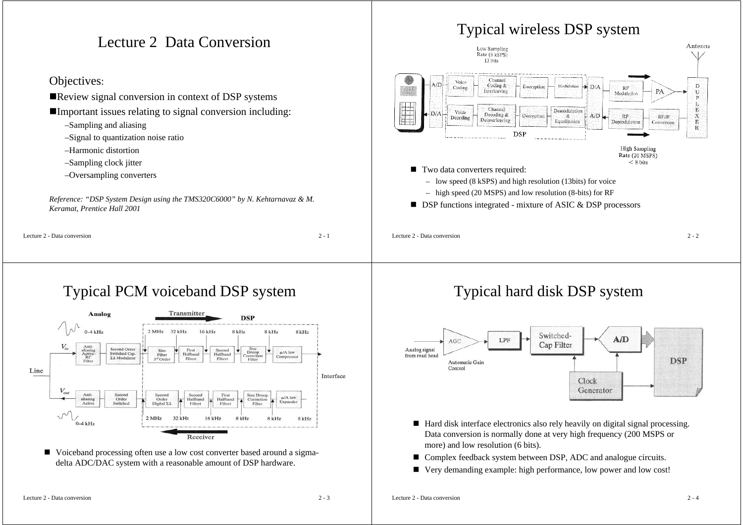## Lecture 2 Data Conversion

#### Objectives:

- Review signal conversion in context of DSP systems
- Important issues relating to signal conversion including:
	- –Sampling and aliasing
	- –Signal to quantization noise ratio
	- –Harmonic distortion
	- –Sampling clock jitter
	- –Oversampling converters

*Reference: "DSP System Design using the TMS320C6000" by N. Kehtarnavaz & M. Keramat, Prentice Hall 2001*

Lecture 2 - Data conversion

 $n \t 2 - 1$ 





## Typical PCM voiceband DSP system



■ Voiceband processing often use a low cost converter based around a sigmadelta ADC/DAC system with a reasonable amount of DSP hardware.

## Typical hard disk DSP system

 $n \t2 - 2$ 



- Hard disk interface electronics also rely heavily on digital signal processing. Data conversion is normally done at very high frequency (200 MSPS or more) and low resolution (6 bits).
- $\blacksquare$ Complex feedback system between DSP, ADC and analogue circuits.
- $\blacksquare$ Very demanding example: high performance, low power and low cost!

Lecture 2 - Data conversion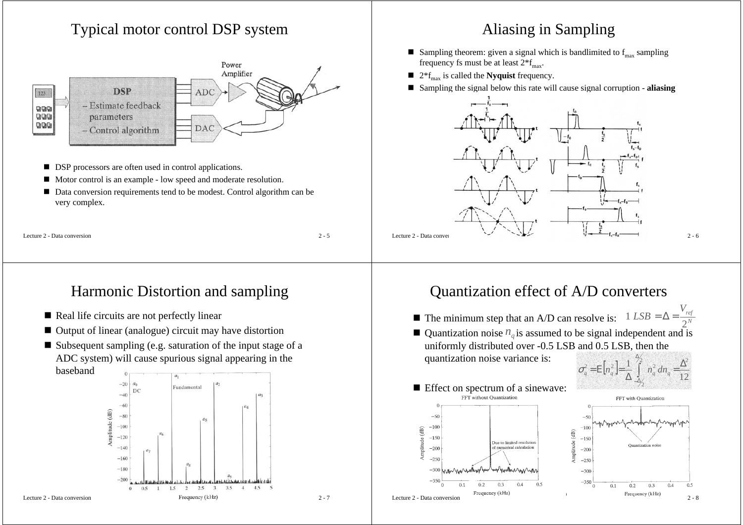## Typical motor control DSP system



- DSP processors are often used in control applications.
- Motor control is an example low speed and moderate resolution.
- Data conversion requirements tend to be modest. Control algorithm can be very complex.

|  |  | Lecture 2 - Data conversion |
|--|--|-----------------------------|
|--|--|-----------------------------|

 $\frac{2}{5}$  - 5

# Harmonic Distortion and sampling

- Real life circuits are not perfectly linear
- Output of linear (analogue) circuit may have distortion
- Subsequent sampling (e.g. saturation of the input stage of a ADC system) will cause spurious signal appearing in the baseband



## Aliasing in Sampling

- Sampling theorem: given a signal which is bandlimited to  $f_{\text{max}}$  sampling frequency fs must be at least  $2*f_{\text{max}}$ .
- $\blacksquare$  2<sup>\*</sup>f<sub>max</sub> is called the **Nyquist** frequency.
- Sampling the signal below this rate will cause signal corruption **aliasing**



## Quantization effect of A/D converters

- The minimum step that an A/D can resolve is:  $1 \text{ LSB} = \Delta = \frac{V_{ref}}{2^N}$  $1 \text{ } LSB = \Delta =$
- Quantization noise  $n_q$  is assumed to be signal independent and is uniformly distributed over -0.5 LSB and 0.5 LSB, then the quantization noise variance is: ∆
- **E** Effect on spectrum of a sinewave:





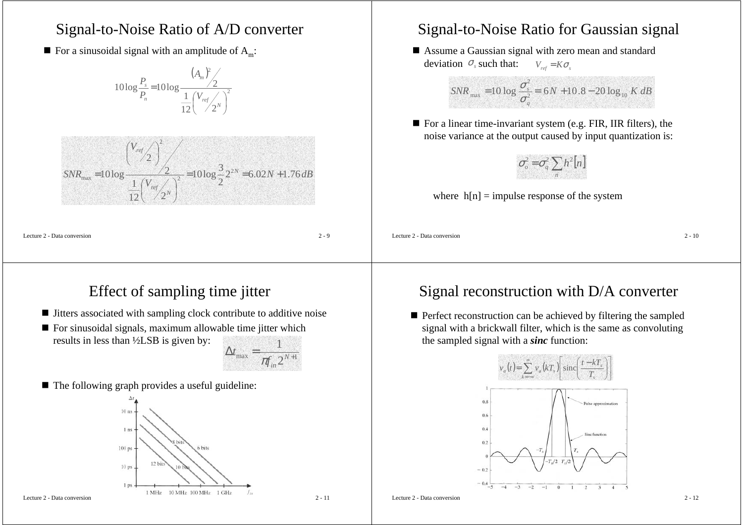### Signal-to-Noise Ratio of A/D converter

 $\blacksquare$  For a sinusoidal signal with an amplitude of  $A_m$ :

 $(A_{\scriptscriptstyle m})$ 2 2 12 $\sqrt{2}$ 1  $10\log \frac{P_s}{P} = 10\log \frac{1}{2}$  $=1010g\frac{1}{12}\left(\frac{V_{ref}}{2^{N}}\right)$  $\bigwedge^{ref}$ <sub>2</sub> $N$ *m n*  $\sum_{n=1}^{s}$  = 10 log  $\frac{1}{1}$  (*V*<sub>1</sub>) *A P P*

$$
SNR_{\text{max}} = 10 \log \frac{\left(\frac{V_{\text{ref}}}{2}\right)^2}{\frac{1}{12}\left(\frac{V_{\text{ref}}}{2}\right)^2} = 10 \log \frac{3}{2} 2^{2N} = 6.02N + 1.76 \, dB
$$

Lecture 2 - Data conversion

 $\frac{2}{9}$ 

#### Signal-to-Noise Ratio for Gaussian signal

 Assume a Gaussian signal with zero mean and standard deviation  $\sigma_s$  such that:  $V_{ref} = K \sigma_s$ 

$$
SNR_{\text{max}} = 10 \log \frac{\sigma_s^2}{\sigma_q^2} = 6N + 10.8 - 20 \log_{10} K \, dB
$$

■ For a linear time-invariant system (e.g. FIR, IIR filters), the noise variance at the output caused by input quantization is:



where  $h[n] =$  impulse response of the system

Lecture 2 - Data conversion

 $2 - 10$ 

## Effect of sampling time jitter

- Jitters associated with sampling clock contribute to additive noise
- For sinusoidal signals, maximum allowable time jitter which results in less than ½LSB is given by:



■ The following graph provides a useful guideline:



#### Lecture 2 - Data conversion

#### Signal reconstruction with D/A converter

**Perfect reconstruction can be achieved by filtering the sampled** signal with a brickwall filter, which is the same as convoluting the sampled signal with a *sinc* function:



Lecture 2 - Data conversion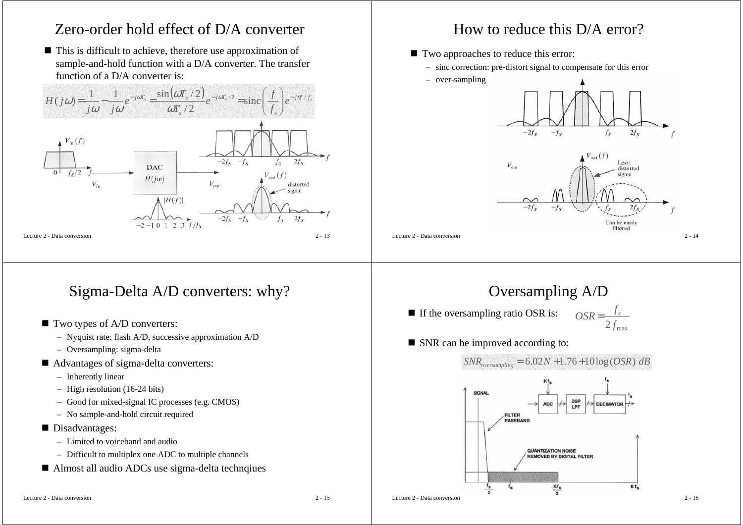## Zero-order hold effect of D/A converter

■ This is difficult to achieve, therefore use approximation of sample-and-hold function with a D/A converter. The transfer function of a D/A converter is:

 $H(j\omega) = \frac{1}{j\omega} - \frac{1}{j\omega}e^{-j\omega T_s} = \frac{\sin(\omega T_s/2)}{\omega T_s/2}e^{-j\omega T_s/2} = \text{sinc}\left(\frac{f}{f_s}\right)e^{-j\pi f/f_s}$  $T_s$  / 2 *f*  $j\omega$   $j\omega$  $H(i\omega) = -$ 



Lecture 2 - Data conversion

## Sigma-Delta A/D converters: why?

- Two types of A/D converters:
	- Nyquist rate: flash A/D, successive approximation A/D
	- Oversampling: sigma-delta
- Advantages of sigma-delta converters:
	- Inherently linear
	- High resolution (16-24 bits)
	- Good for mixed-signal IC processes (e.g. CMOS)
	- No sample-and-hold circuit required
- Disadvantages:
	- Limited to voiceband and audio
	- Difficult to multiplex one ADC to multiple channels
- Almost all audio ADCs use sigma-delta technqiues

## How to reduce this D/A error?

- Two approaches to reduce this error:
	- sinc correction: pre-distort signal to compensate for this error
	- over-sampling

Lecture 2 - Data conversion



## Oversampling A/D

- If the oversampling ratio OSR is:  $2 f_{\rm max}$  $OSR = \frac{f_s}{f}$
- SNR can be improved according to:

*SNRoversampling* <sup>=</sup> 6.02*<sup>N</sup>* <sup>+</sup>1.76+10log(*OSR*) *dB*SIGNAL **DSP** ADC: DECIMATOR LPF **FILTER** PASSBAND **QUANTIZATION NOISE REMOVED BY DIGITAL FILTER**  $^{\mathsf{f}_\mathsf{S}}$  $Kf_s$  $Kf_s$  $\overline{2}$ Lecture 2 - Data conversion $2 - 16$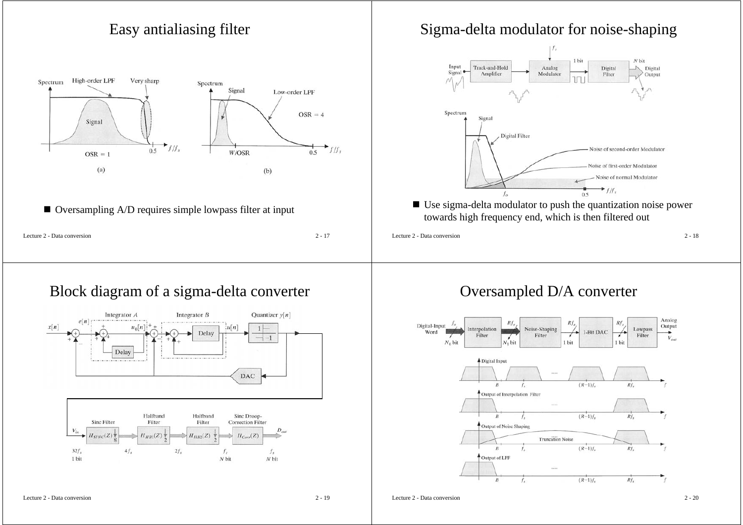

#### Block diagram of a sigma-delta converter



#### Oversampled D/A converter